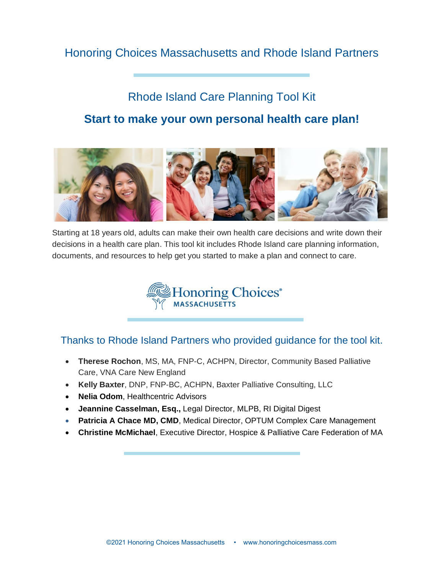#### Honoring Choices Massachusetts and Rhode Island Partners

#### Rhode Island Care Planning Tool Kit

#### **Start to make your own personal health care plan!**



Starting at 18 years old, adults can make their own health care decisions and write down their decisions in a health care plan. This tool kit includes Rhode Island care planning information, documents, and resources to help get you started to make a plan and connect to care.



#### Thanks to Rhode Island Partners who provided guidance for the tool kit.

- **Therese Rochon**, MS, MA, FNP-C, ACHPN, Director, Community Based Palliative Care, VNA Care New England
- **Kelly Baxter**, DNP, FNP-BC, ACHPN, Baxter Palliative Consulting, LLC
- **Nelia Odom**, Healthcentric Advisors
- **Jeannine Casselman, Esq.,** Legal Director, MLPB, RI Digital Digest
- **Patricia A Chace MD, CMD**, Medical Director, OPTUM Complex Care Management
- **Christine McMichael**, Executive Director, Hospice & Palliative Care Federation of MA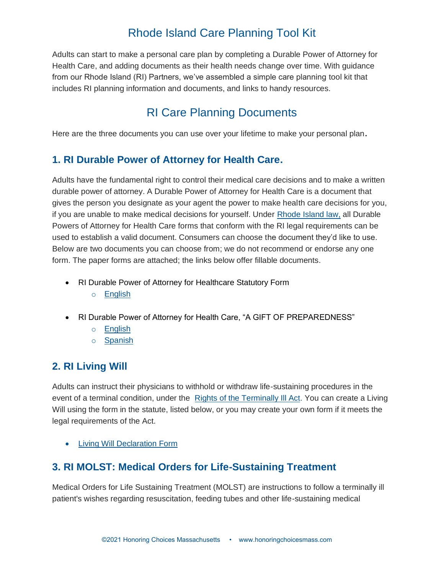### Rhode Island Care Planning Tool Kit

Adults can start to make a personal care plan by completing a Durable Power of Attorney for Health Care, and adding documents as their health needs change over time. With guidance from our Rhode Island (RI) Partners, we've assembled a simple care planning tool kit that includes RI planning information and documents, and links to handy resources.

#### RI Care Planning Documents

Here are the three documents you can use over your lifetime to make your personal plan**.**

#### **1. RI Durable Power of Attorney for Health Care.**

Adults have the fundamental right to control their medical care decisions and to make a written durable power of attorney. A Durable Power of Attorney for Health Care is a document that gives the person you designate as your agent the power to make health care decisions for you, if you are unable to make medical decisions for yourself. Under [Rhode Island law,](http://webserver.rilin.state.ri.us/statutes/TITLE23/23-4.10/INDEX.HTM) all Durable Powers of Attorney for Health Care forms that conform with the RI legal requirements can be used to establish a valid document. Consumers can choose the document they'd like to use. Below are two documents you can choose from; we do not recommend or endorse any one form. The paper forms are attached; the links below offer fillable documents.

- RI Durable Power of Attorney for Healthcare Statutory Form
	- o [English](https://health.ri.gov/forms/legal/DurablePowerOfAttorneyForHealthcare.pdf)
- RI Durable Power of Attorney for Health Care, "A GIFT OF PREPAREDNESS"
	- o [English](http://www.honoringchoicesmass.com/wp-content/uploads/2021/03/RI-Gift-of-Preparedness-English-.pdf)
	- o [Spanish](http://www.honoringchoicesmass.com/wp-content/uploads/2021/03/RI-Gift-of-Preparedness-Spanish.pdf)

#### **2. RI Living Will**

Adults can instruct their physicians to withhold or withdraw life-sustaining procedures in the event of a terminal condition, under the Rights of the Terminally III Act. You can create a Living Will using the form in the [statute,](http://webserver.rilin.state.ri.us/statutes/TITLE23/23-4.11/23-4.11-3.HTM) listed below, or you may create your own form if it meets the legal requirements of the Act.

• [Living Will Declaration Form](https://health.ri.gov/forms/living-will-declaration.pdf)

#### **3. RI MOLST: Medical Orders for Life-Sustaining Treatment**

Medical Orders for Life Sustaining Treatment (MOLST) are instructions to follow a terminally ill patient's wishes regarding resuscitation, feeding tubes and other life-sustaining medical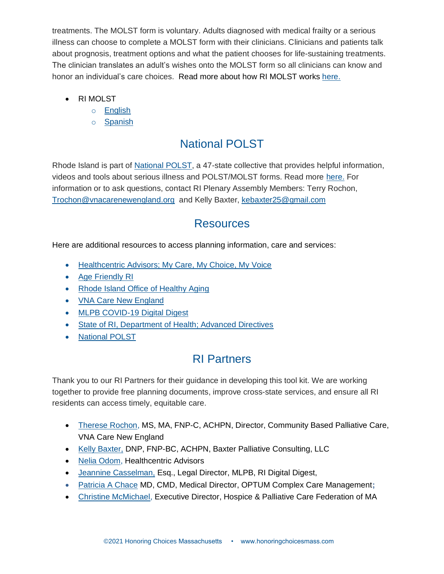treatments. The MOLST form is voluntary. Adults diagnosed with medical frailty or a serious illness can choose to complete a MOLST form with their clinicians. Clinicians and patients talk about prognosis, treatment options and what the patient chooses for life-sustaining treatments. The clinician translates an adult's wishes onto the MOLST form so all clinicians can know and honor an individual's care choices. Read more about how RI MOLST works [here.](https://health.ri.gov/lifestages/death/about/medicalordersforlifesustainingtreatment/)

- RI MOLST
	- o [English](https://health.ri.gov/forms/medical/OrdersForLifeSustainingTreatment.pdf)
	- o [Spanish](https://health.ri.gov/otherlanguages/spanish/forms/medical/OrdersForLifeSustainingTreatment.pdf)

#### National POLST

Rhode Island is part of [National POLST,](https://polst.org/) a 47-state collective that provides helpful information, videos and tools about serious illness and POLST/MOLST forms. Read more [here.](https://polst.org/) For information or to ask questions, contact RI Plenary Assembly Members: Terry Rochon, [Trochon@vnacarenewengland.org](mailto:Trochon@vnacarenewengland.org) and Kelly Baxter, [kebaxter25@gmail.com](mailto:kebaxter25@gmail.com)

#### **Resources**

Here are additional resources to access planning information, care and services:

- [Healthcentric Advisors; My Care, My Choice, My Voice](https://healthcentricadvisors.org/myccv/everyone/)
- [Age Friendly RI](https://agefriendlyri.org/)
- [Rhode Island Office of Healthy Aging](http://oha.ri.gov/)
- [VNA Care New England](https://www.vnacarenewengland.org/)
- MLPB COVID-19 Digital Digest
- [State of RI, Department of Health; Advanced Directives](https://health.ri.gov/lifestages/death/about/advancedirectives/)
- [National POLST](https://polst.org/)

#### RI Partners

Thank you to our RI Partners for their guidance in developing this tool kit. We are working together to provide free planning documents, improve cross-state services, and ensure all RI residents can access timely, equitable care.

- [Therese Rochon,](mailto:trochon@vnacarenewengland.org) MS, MA, FNP-C, ACHPN, Director, Community Based Palliative Care, VNA Care New England
- [Kelly Baxter,](mailto:%20kelly@baxterpalliativecare.com) DNP, FNP-BC, ACHPN, Baxter Palliative Consulting, LLC
- [Nelia Odom,](mailto:nodom@healthcentricadvisors.org) Healthcentric Advisors
- [Jeannine Casselman,](mailto:jcasselman@mlpboston.org) Esq., Legal Director, MLPB, RI Digital Digest,
- [Patricia A Chace](mailto:patricia.chace@optum.com) MD, CMD, Medical Director, OPTUM Complex Care Management**;**
- [Christine McMichael,](mailto:cmcmichael@hospicefed.org) Executive Director, Hospice & Palliative Care Federation of MA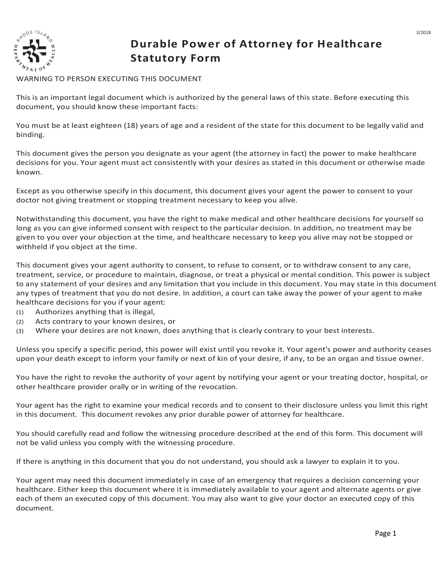

# **Durable Power of Attorney for Healthcare<br>Statutory Form Durable Power<br>Statutory Form<br><sup>NG THIS DOCUMENT**</sup>  $\sum_{k}^{\infty}$ <br>  $\sum_{k}^{\infty}$ <br>
WARNING TO PERSON EXECUTING THIS DOCUMENT

This is an important legal document which is authorized by the general laws of this state. Before executing this document, you should know these important facts:

You must be at least eighteen (18) years of age and a resident of the state for this document to be legally valid and binding.

This document gives the person you designate as your agent (the attorney in fact) the power to make healthcare decisions for you. Your agent must act consistently with your desires as stated in this document or otherwise made known.

Except as you otherwise specify in this document, this document gives your agent the power to consent to your doctor not giving treatment or stopping treatment necessary to keep you alive.

Notwithstanding this document, you have the right to make medical and other healthcare decisions for yourself so long as you can give informed consent with respect to the particular decision. In addition, no treatment may be given to you over your objection at the time, and healthcare necessary to keep you alive may not be stopped or withheld if you object at the time.

This document gives your agent authority to consent, to refuse to consent, or to withdraw consent to any care, treatment, service, or procedure to maintain, diagnose, or treat a physical or mental condition. This power is subject to any statement of your desires and any limitation that you include in this document. You may state in this document any types of treatment that you do not desire. In addition, a court can take away the power of your agent to make healthcare decisions for you if your agent:

- (1) Authorizes anything that is illegal,
- (2) Acts contrary to your known desires, or
- (3) Where your desires are not known, does anything that is clearly contrary to your best interests.

(1) Authorizes anything that is illegal,<br>
(2) Acts contrary to your known desires, or<br>
(3) Where your desires are not known, does anything that is clearly contrary to your best interests.<br>
Unless you specify a specific per

You have the right to revoke the authority of your agent by notifying your agent or your treating doctor, hospital, or other healthcare provider orally or in writing of the revocation.

Your agent has the right to examine your medical records and to consent to their disclosure unless you limit this right in this document. This document revokes any prior durable power of attorney for healthcare.

You should carefully read and follow the witnessing procedure described at the end of this form. This document will not be valid unless you comply with the witnessing procedure.

If there is anything in this document that you do not understand, you should ask a lawyer to explain it to you.

Your agent may need this document immediately in case of an emergency that requires a decision concerning your healthcare. Either keep this document where it is immediately available to your agent and alternate agents or give each of them an executed copy of this document. You may also want to give your doctor an executed copy of this document.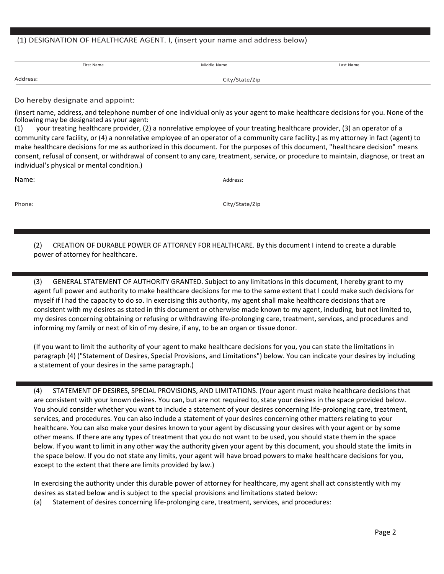#### (1) DESIGNATION OF HEALTHCARE AGENT. I, (insert your name and address below)

|          | First Name | Middle Name    | Last Name |
|----------|------------|----------------|-----------|
| Address: |            | City/State/Zip |           |

Do hereby designate and appoint:

(insert name, address, and telephone number of one individual only as your agent to make healthcare decisions for you. None of the following may be designated as your agent:

(1) your treating healthcare provider, (2) a nonrelative employee of your treating healthcare provider, (3) an operator of a community care facility, or (4) a nonrelative employee of an operator of a community care facility.) as my attorney in fact (agent) to make healthcare decisions for me as authorized in this document. For the purposes of this document, "healthcare decision" means consent, refusal of consent, or withdrawal of consent to any care, treatment, service, or procedure to maintain, diagnose, or treat an individual's physical or mental condition.)

| Name: | Address: |
|-------|----------|
|       |          |
|       |          |

Phone: City/State/Zip

(2) CREATION OF DURABLE POWER OF ATTORNEY FOR HEALTHCARE. By this document I intend to create a durable power of attorney for healthcare.

(3) GENERAL STATEMENT OF AUTHORITY GRANTED. Subject to any limitations in this document, I hereby grant to my agent full power and authority to make healthcare decisions for me to the same extent that I could make such decisions for myself if I had the capacity to do so. In exercising this authority, my agent shall make healthcare decisions that are consistent with my desires as stated in this document or otherwise made known to my agent, including, but not limited to, my desires concerning obtaining or refusing or withdrawing life-prolonging care, treatment, services, and procedures and informing my family or next of kin of my desire, if any, to be an organ or tissue donor.

(If you want to limit the authority of your agent to make healthcare decisions for you, you can state the limitations in paragraph (4) ("Statement of Desires, Special Provisions, and Limitations") below. You can indicate your desires by including a statement of your desires in the same paragraph.)

(4) STATEMENT OF DESIRES, SPECIAL PROVISIONS, AND LIMITATIONS. (Your agent must make healthcare decisions that are consistent with your known desires. You can, but are not required to, state your desires in the space provided below. You should consider whether you want to include a statement of your desires concerning life-prolonging care, treatment, services, and procedures. You can also include a statement of your desires concerning other matters relating to your healthcare. You can also make your desires known to your agent by discussing your desires with your agent or by some other means. If there are any types of treatment that you do not want to be used, you should state them in the space below. If you want to limit in any other way the authority given your agent by this document, you should state the limits in the space below. If you do not state any limits, your agent will have broad powers to make healthcare decisions for you, except to the extent that there are limits provided by law.)

In exercising the authority under this durable power of attorney for healthcare, my agent shall act consistently with my desires as stated below and is subject to the special provisions and limitations stated below:

(a) Statement of desires concerning life-prolonging care, treatment, services, and procedures: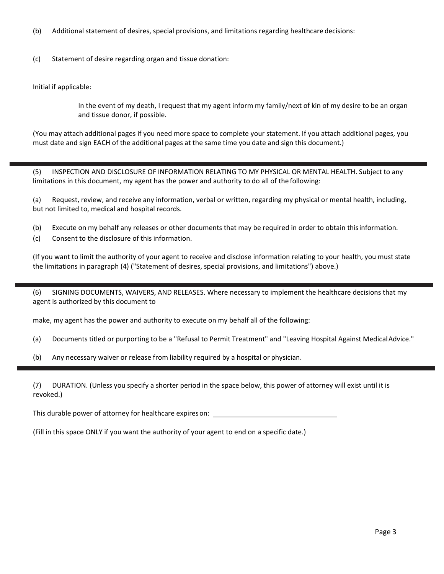- (b) Additional statement of desires, special provisions, and limitations regarding healthcare decisions:
- (c) Statement of desire regarding organ and tissue donation:

Initial if applicable:

In the event of my death, I request that my agent inform my family/next of kin of my desire to be an organ and tissue donor, if possible.

(You may attach additional pages if you need more space to complete your statement. If you attach additional pages, you must date and sign EACH of the additional pages at the same time you date and sign this document.)

(5) INSPECTION AND DISCLOSURE OF INFORMATION RELATING TO MY PHYSICAL OR MENTAL HEALTH. Subject to any limitations in this document, my agent has the power and authority to do all of the following:

(a) Request, review, and receive any information, verbal or written, regarding my physical or mental health, including, but not limited to, medical and hospital records.

- (b) Execute on my behalf any releases or other documents that may be required in order to obtain thisinformation.
- (c) Consent to the disclosure of thisinformation.

(If you want to limit the authority of your agent to receive and disclose information relating to your health, you must state the limitations in paragraph (4) ("Statement of desires, special provisions, and limitations") above.)

(6) SIGNING DOCUMENTS, WAIVERS, AND RELEASES. Where necessary to implement the healthcare decisions that my agent is authorized by this document to

make, my agent has the power and authority to execute on my behalf all of the following:

(a) Documents titled or purporting to be a "Refusal to Permit Treatment" and "Leaving Hospital Against MedicalAdvice."

(b) Any necessary waiver or release from liability required by a hospital or physician.

(7) DURATION. (Unless you specify a shorter period in the space below, this power of attorney will exist until it is revoked.)

This durable power of attorney for healthcare expireson:

(Fill in this space ONLY if you want the authority of your agent to end on a specific date.)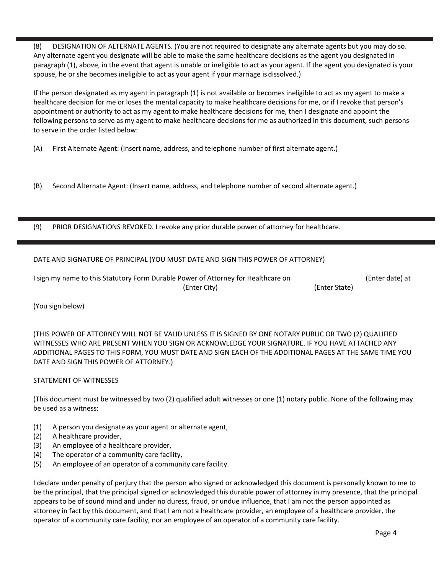(8) DESIGNATION OF ALTERNATE AGENTS. (You are not required to designate any alternate agents but you may do so. Any alternate agent you designate will be able to make the same healthcare decisions as the agent you designated in paragraph (1), above, in the event that agent is unable or ineligible to act as your agent. If the agent you designated is your spouse, he or she becomes ineligible to act as your agent if your marriage isdissolved.)

If the person designated as my agent in paragraph (1) is not available or becomes ineligible to act as my agent to make a healthcare decision for me or loses the mental capacity to make healthcare decisions for me, or if I revoke that person's appointment or authority to act as my agent to make healthcare decisions for me, then I designate and appoint the following persons to serve as my agent to make healthcare decisions for me as authorized in this document, such persons to serve in the order listed below:

(A) First Alternate Agent: (Insert name, address, and telephone number of first alternate agent.)

(B) Second Alternate Agent: (Insert name, address, and telephone number of second alternate agent.)

(9) PRIOR DESIGNATIONS REVOKED. I revoke any prior durable power of attorney for healthcare.

#### DATE AND SIGNATURE OF PRINCIPAL (YOU MUST DATE AND SIGN THIS POWER OF ATTORNEY)

I sign my name to this Statutory Form Durable Power of Attorney for Healthcare on (Enter date) at (Enter City) (Enter State)

(You sign below)

(THIS POWER OF ATTORNEY WILL NOT BE VALID UNLESS IT IS SIGNED BY ONE NOTARY PUBLIC OR TWO (2) QUALIFIED WITNESSES WHO ARE PRESENT WHEN YOU SIGN OR ACKNOWLEDGE YOUR SIGNATURE. IF YOU HAVE ATTACHED ANY ADDITIONAL PAGES TO THIS FORM, YOU MUST DATE AND SIGN EACH OF THE ADDITIONAL PAGES AT THE SAME TIME YOU DATE AND SIGN THIS POWER OF ATTORNEY.)

#### STATEMENT OF WITNESSES

(This document must be witnessed by two (2) qualified adult witnesses or one (1) notary public. None of the following may be used as a witness:

- (1) A person you designate as your agent or alternate agent,
- (2) A healthcare provider,
- (3) An employee of a healthcare provider,
- (4) The operator of a community care facility,
- (5) An employee of an operator of a community care facility.

I declare under penalty of perjury that the person who signed or acknowledged this document is personally known to me to be the principal, that the principal signed or acknowledged this durable power of attorney in my presence, that the principal appears to be of sound mind and under no duress, fraud, or undue influence, that I am not the person appointed as attorney in fact by this document, and that I am not a healthcare provider, an employee of a healthcare provider, the operator of a community care facility, nor an employee of an operator of a community care facility.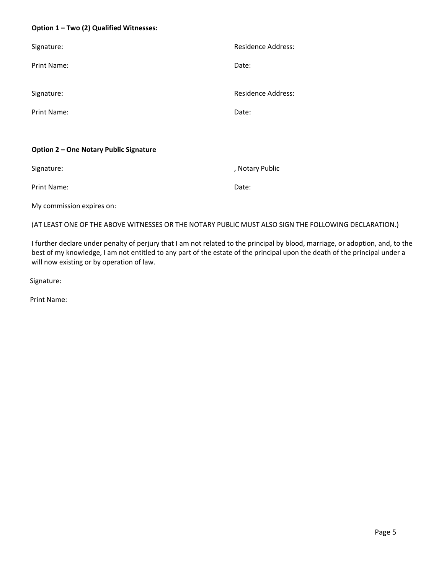#### **Option 1 – Two (2) Qualified Witnesses:**

| Signature:                             | Residence Address: |
|----------------------------------------|--------------------|
| <b>Print Name:</b>                     | Date:              |
|                                        |                    |
| Signature:                             | Residence Address: |
| Print Name:                            | Date:              |
|                                        |                    |
| Option 2 - One Notary Public Signature |                    |
| Signature:                             | , Notary Public    |
| Print Name:                            | Date:              |

My commission expires on:

(AT LEAST ONE OF THE ABOVE WITNESSES OR THE NOTARY PUBLIC MUST ALSO SIGN THE FOLLOWING DECLARATION.)

I further declare under penalty of perjury that I am not related to the principal by blood, marriage, or adoption, and, to the best of my knowledge, I am not entitled to any part of the estate of the principal upon the death of the principal under a will now existing or by operation of law.

Signature:

Print Name: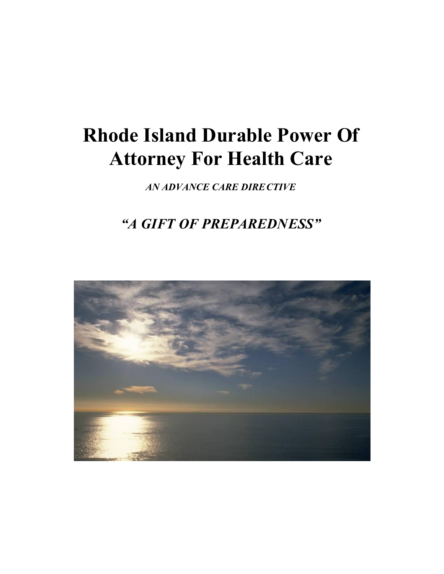## **Rhode Island Durable Power Of Attorney For Health Care**

*AN ADVANCE CARE DIRECTIVE*

*"A GIFT OF PREPAREDNESS"*

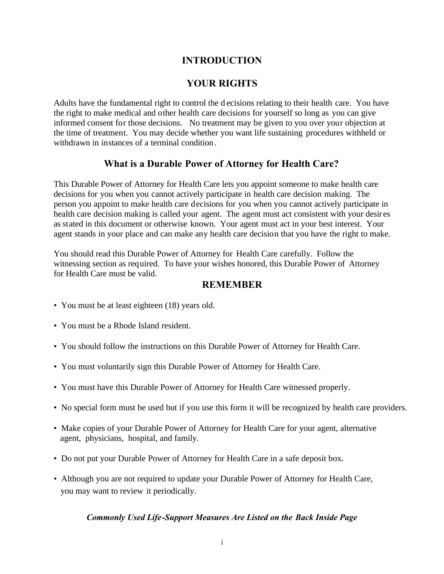#### **INTRODUCTION**

#### **YOUR RIGHTS**

Adults have the fundamental right to control the d ecisions relating to their health care. You have the right to make medical and other health care decisions for yourself so long as you can give informed consent for those decisions. No treatment may be given to you over your objection at the time of treatment. You may decide whether you want life sustaining procedures withheld or withdrawn in instances of a terminal condition.

#### **What is a Durable Power of Attorney for Health Care?**

This Durable Power of Attorney for Health Care lets you appoint someone to make health care decisions for you when you cannot actively participate in health care decision making. The person you appoint to make health care decisions for you when you cannot actively participate in health care decision making is called your agent. The agent must act consistent with your desires as stated in this document or otherwise known. Your agent must act in your best interest. Your agent stands in your place and can make any health care decision that you have the right to make.

You should read this Durable Power of Attorney for Health Care carefully. Follow the witnessing section as required. To have your wishes honored, this Durable Power of Attorney for Health Care must be valid.

#### **REMEMBER**

- You must be at least eighteen (18) years old.
- You must be a Rhode Island resident.
- You should follow the instructions on this Durable Power of Attorney for Health Care.
- You must voluntarily sign this Durable Power of Attorney for Health Care.
- You must have this Durable Power of Attorney for Health Care witnessed properly.
- No special form must be used but if you use this form it will be recognized by health care providers.
- Make copies of your Durable Power of Attorney for Health Care for your agent, alternative agent, physicians, hospital, and family.
- Do not put your Durable Power of Attorney for Health Care in a safe deposit box**.**
- Although you are not required to update your Durable Power of Attorney for Health Care, you may want to review it periodically.

#### *Commonly Used Life-Support Measures Are Listed on the Back Inside Page*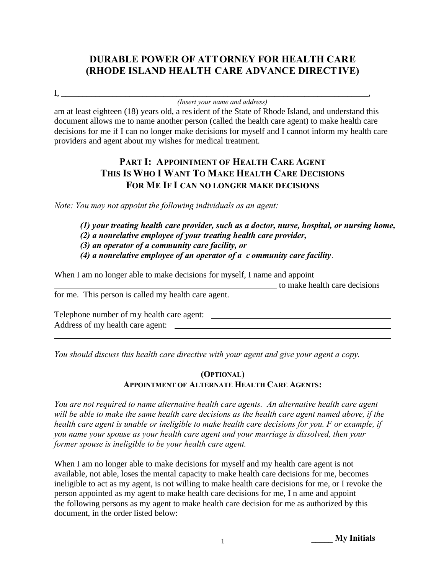#### **DURABLE POWER OF ATTORNEY FOR HEALTH CARE (RHODE ISLAND HEALTH CARE ADVANCE DIRECTIVE)**

 ${\rm I},\underline{\hspace{1cm}}\underline{\hspace{1cm}}\underline{\hspace{1cm}}\underline{\hspace{1cm}}\underline{\hspace{1cm}}\underline{\hspace{1cm}}\underline{\hspace{1cm}}\underline{\hspace{1cm}}\underline{\hspace{1cm}}\underline{\hspace{1cm}}\underline{\hspace{1cm}}\underline{\hspace{1cm}}\underline{\hspace{1cm}}\underline{\hspace{1cm}}\underline{\hspace{1cm}}\underline{\hspace{1cm}}\underline{\hspace{1cm}}\underline{\hspace{1cm}}\underline{\hspace{1cm}}\underline{\hspace{1cm}}\underline{\hspace{1cm}}\underline{\hspace{1cm}}\underline{\hspace{1cm}}\underline{\hspace{1cm}}$ 

*(Insert your name and address)*

am at least eighteen (18) years old, a resident of the State of Rhode Island, and understand this document allows me to name another person (called the health care agent) to make health care decisions for me if I can no longer make decisions for myself and I cannot inform my health care providers and agent about my wishes for medical treatment.

#### **PART I: APPOINTMENT OF HEALTH CARE AGENT THIS IS WHO I WANT TO MAKE HEALTH CARE DECISIONS FOR ME IF I CAN NO LONGER MAKE DECISIONS**

*Note: You may not appoint the following individuals as an agent:* 

*(1) your treating health care provider, such as a doctor, nurse, hospital, or nursing home, (2) a nonrelative employee of your treating health care provider, (3) an operator of a community care facility, or (4) a nonrelative employee of an operator of a c ommunity care facility.*

When I am no longer able to make decisions for myself, I name and appoint

**to make health care decisions** 

for me. This person is called my health care agent.

Telephone number of my health care agent: Address of my health care agent:

*You should discuss this health care directive with your agent and give your agent a copy.*

#### **(OPTIONAL) APPOINTMENT OF ALTERNATE HEALTH CARE AGENTS:**

*You are not required to name alternative health care agents. An alternative health care agent will be able to make the same health care decisions as the health care agent named above, if the health care agent is unable or ineligible to make health care decisions for you. F or example, if you name your spouse as your health care agent and your marriage is dissolved, then your former spouse is ineligible to be your health care agent.*

When I am no longer able to make decisions for myself and my health care agent is not available, not able, loses the mental capacity to make health care decisions for me, becomes ineligible to act as my agent, is not willing to make health care decisions for me, or I revoke the person appointed as my agent to make health care decisions for me, I n ame and appoint the following persons as my agent to make health care decision for me as authorized by this document, in the order listed below: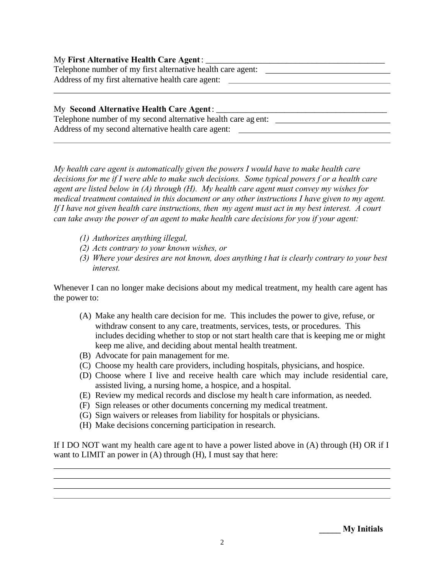| My First Alternative Health Care Agent:                     |  |
|-------------------------------------------------------------|--|
| Telephone number of my first alternative health care agent: |  |
| Address of my first alternative health care agent:          |  |
|                                                             |  |
| My Second Alternative Health Care Agent:                    |  |

Telephone number of my second alternative health care ag ent: Address of my second alternative health care agent:

*My health care agent is automatically given the powers I would have to make health care decisions for me if I were able to make such decisions. Some typical powers f or a health care agent are listed below in (A) through (H). My health care agent must convey my wishes for medical treatment contained in this document or any other instructions I have given to my agent. If I have not given health care instructions, then my agent must act in my best interest. A court can take away the power of an agent to make health care decisions for you if your agent:*

- *(1) Authorizes anything illegal,*
- *(2) Acts contrary to your known wishes, or*
- *(3) Where your desires are not known, does anything t hat is clearly contrary to your best interest.*

Whenever I can no longer make decisions about my medical treatment, my health care agent has the power to:

- (A) Make any health care decision for me. This includes the power to give, refuse, or withdraw consent to any care, treatments, services, tests, or procedures. This includes deciding whether to stop or not start health care that is keeping me or might keep me alive, and deciding about mental health treatment.
- (B) Advocate for pain management for me.
- (C) Choose my health care providers, including hospitals, physicians, and hospice.
- (D) Choose where I live and receive health care which may include residential care, assisted living, a nursing home, a hospice, and a hospital.
- (E) Review my medical records and disclose my healt h care information, as needed.
- (F) Sign releases or other documents concerning my medical treatment.
- (G) Sign waivers or releases from liability for hospitals or physicians.
- (H) Make decisions concerning participation in research.

If I DO NOT want my health care agent to have a power listed above in (A) through (H) OR if I want to LIMIT an power in (A) through (H), I must say that here: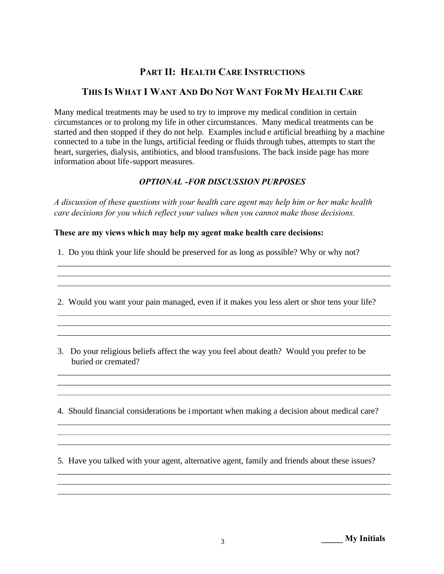#### **PART II: HEALTH CARE INSTRUCTIONS**

#### **THIS IS WHAT I WANT AND DO NOT WANT FOR MY HEALTH CARE**

Many medical treatments may be used to try to improve my medical condition in certain circumstances or to prolong my life in other circumstances. Many medical treatments can be started and then stopped if they do not help. Examples includ e artificial breathing by a machine connected to a tube in the lungs, artificial feeding or fluids through tubes, attempts to start the heart, surgeries, dialysis, antibiotics, and blood transfusions. The back inside page has more information about life-support measures.

#### *OPTIONAL -FOR DISCUSSION PURPOSES*

*A discussion of these questions with your health care agent may help him or her make health care decisions for you which reflect your values when you cannot make those decisions.* 

#### **These are my views which may help my agent make health care decisions:**

1. Do you think your life should be preserved for as long as possible? Why or why not?

2. Would you want your pain managed, even if it makes you less alert or shor tens your life?

3. Do your religious beliefs affect the way you feel about death? Would you prefer to be buried or cremated?

4. Should financial considerations be important when making a decision about medical care?

5. Have you talked with your agent, alternative agent, family and friends about these issues?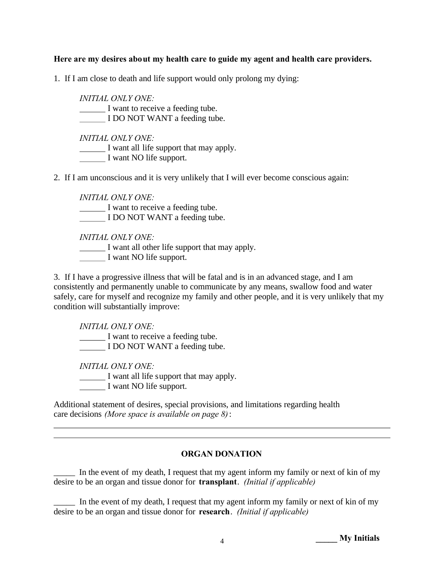**Here are my desires about my health care to guide my agent and health care providers.**

1. If I am close to death and life support would only prolong my dying:

*INITIAL ONLY ONE:* I want to receive a feeding tube. I DO NOT WANT a feeding tube.

*INITIAL ONLY ONE:* I want all life support that may apply. I want NO life support.

2. If I am unconscious and it is very unlikely that I will ever become conscious again:

*INITIAL ONLY ONE:* I want to receive a feeding tube. I DO NOT WANT a feeding tube.

*INITIAL ONLY ONE:* I want all other life support that may apply. I want NO life support.

3. If I have a progressive illness that will be fatal and is in an advanced stage, and I am consistently and permanently unable to communicate by any means, swallow food and water safely, care for myself and recognize my family and other people, and it is very unlikely that my condition will substantially improve:

*INITIAL ONLY ONE:*

I want to receive a feeding tube.

I DO NOT WANT a feeding tube.

*INITIAL ONLY ONE:*

 I want all life support that may apply. I want NO life support.

Additional statement of desires, special provisions, and limitations regarding health care decisions *(More space is available on page 8)*:

#### **ORGAN DONATION**

In the event of my death, I request that my agent inform my family or next of kin of my desire to be an organ and tissue donor for **transplant**. *(Initial if applicable)*

\_\_\_\_\_ In the event of my death, I request that my agent inform my family or next of kin of my desire to be an organ and tissue donor for **research**. *(Initial if applicable)*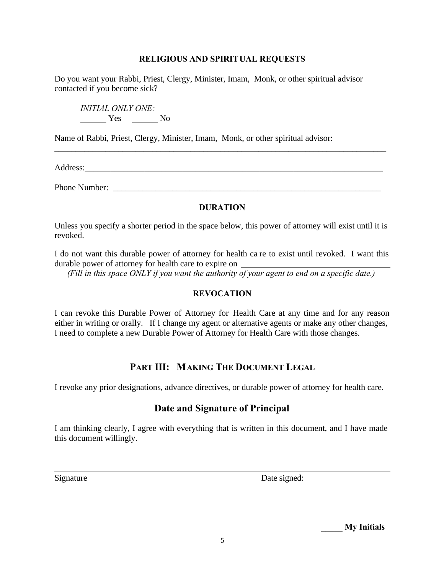#### **RELIGIOUS AND SPIRITUAL REQUESTS**

Do you want your Rabbi, Priest, Clergy, Minister, Imam, Monk, or other spiritual advisor contacted if you become sick?

*INITIAL ONLY ONE:* No No No

Name of Rabbi, Priest, Clergy, Minister, Imam, Monk, or other spiritual advisor:

Address:

Phone Number:

#### **DURATION**

\_\_\_\_\_\_\_\_\_\_\_\_\_\_\_\_\_\_\_\_\_\_\_\_\_\_\_\_\_\_\_\_\_\_\_\_\_\_\_\_\_\_\_\_\_\_\_\_\_\_\_\_\_\_\_\_\_\_\_\_\_\_\_\_\_\_\_\_\_\_\_\_\_\_\_\_\_\_

Unless you specify a shorter period in the space below, this power of attorney will exist until it is revoked.

I do not want this durable power of attorney for health ca re to exist until revoked. I want this durable power of attorney for health care to expire on

*(Fill in this space ONLY if you want the authority of your agent to end on a specific date.)*

#### **REVOCATION**

I can revoke this Durable Power of Attorney for Health Care at any time and for any reason either in writing or orally. If I change my agent or alternative agents or make any other changes, I need to complete a new Durable Power of Attorney for Health Care with those changes.

#### **PART III: MAKING THE DOCUMENT LEGAL**

I revoke any prior designations, advance directives, or durable power of attorney for health care.

#### **Date and Signature of Principal**

I am thinking clearly, I agree with everything that is written in this document, and I have made this document willingly.

Signature Date signed: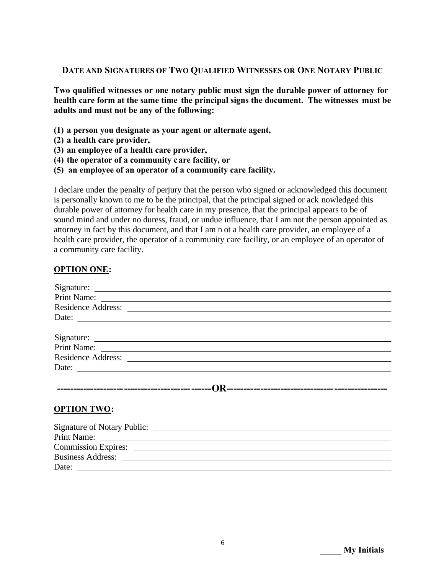#### **DATE AND SIGNATURES OF TWO QUALIFIED WITNESSES OR ONE NOTARY PUBLIC**

**Two qualified witnesses or one notary public must sign the durable power of attorney for health care form at the same time the principal signs the document. The witnesses must be adults and must not be any of the following:**

- **(1) a person you designate as your agent or alternate agent,**
- **(2) a health care provider,**
- **(3) an employee of a health care provider,**
- **(4) the operator of a community care facility, or**
- **(5) an employee of an operator of a community care facility.**

I declare under the penalty of perjury that the person who signed or acknowledged this document is personally known to me to be the principal, that the principal signed or ack nowledged this durable power of attorney for health care in my presence, that the principal appears to be of sound mind and under no duress, fraud, or undue influence, that I am not the person appointed as attorney in fact by this document, and that I am n ot a health care provider, an employee of a health care provider, the operator of a community care facility, or an employee of an operator of a community care facility.

#### **OPTION ONE:**

| Residence Address:    |  |
|-----------------------|--|
|                       |  |
|                       |  |
|                       |  |
|                       |  |
| Residence Address:    |  |
|                       |  |
|                       |  |
|                       |  |
| <b>OPTION TWO:</b>    |  |
|                       |  |
| Print Name:           |  |
|                       |  |
|                       |  |
| Date: $\qquad \qquad$ |  |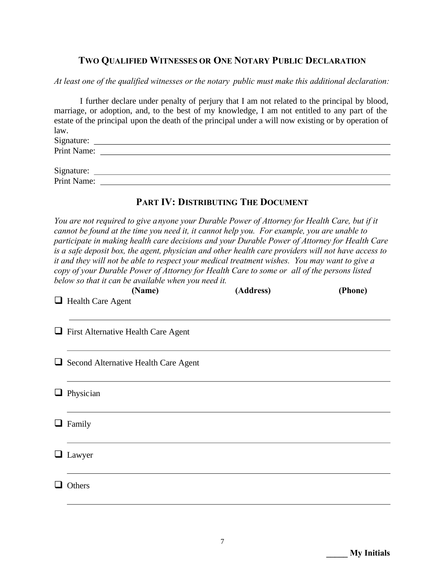#### **TWO QUALIFIED WITNESSES OR ONE NOTARY PUBLIC DECLARATION**

*At least one of the qualified witnesses or the notary public must make this additional declaration:*

I further declare under penalty of perjury that I am not related to the principal by blood, marriage, or adoption, and, to the best of my knowledge, I am not entitled to any part of the estate of the principal upon the death of the principal under a will now existing or by operation of law. Signature:

Print Name:

| Signature:       |  |
|------------------|--|
| Print N<br>Name: |  |
|                  |  |

#### **PART IV: DISTRIBUTING THE DOCUMENT**

*You are not required to give anyone your Durable Power of Attorney for Health Care, but if it cannot be found at the time you need it, it cannot help you. For example, you are unable to participate in making health care decisions and your Durable Power of Attorney for Health Care is a safe deposit box, the agent, physician and other health care providers will not have access to it and they will not be able to respect your medical treatment wishes. You may want to give a copy of your Durable Power of Attorney for Health Care to some or all of the persons listed below so that it can be available when you need it.* 

|          | (Name)                               | (Address) | (Phone) |
|----------|--------------------------------------|-----------|---------|
|          | $\Box$ Health Care Agent             |           |         |
|          |                                      |           |         |
| ⊔        | First Alternative Health Care Agent  |           |         |
| $\sqcup$ | Second Alternative Health Care Agent |           |         |
| ⊔        | Physician                            |           |         |
| ⊔        | Family                               |           |         |
| ⊔        | Lawyer                               |           |         |
|          | Others                               |           |         |
|          |                                      |           |         |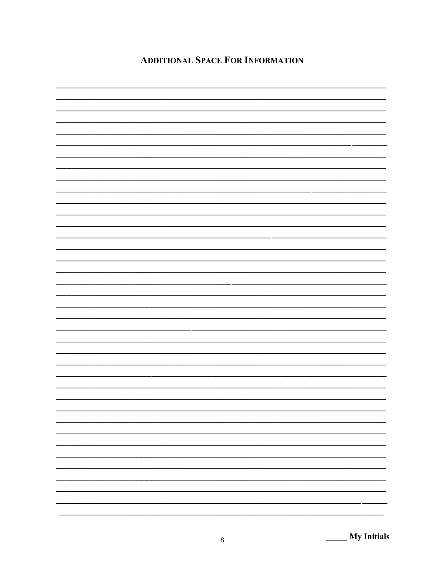**ADDITIONAL SPACE FOR INFORMATION** 



My Initials